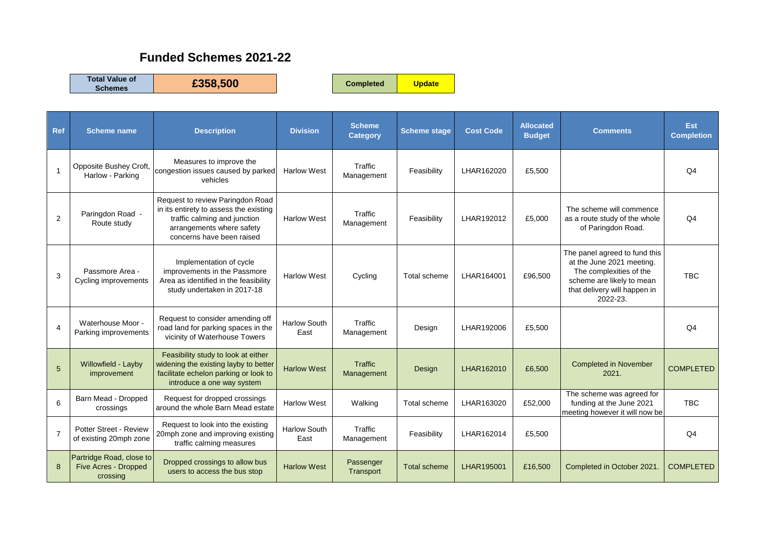## **Funded Schemes 2021-22**

**Total Value of** 

**Schemes £358,500 Completed Update**

| <b>Ref</b>     | <b>Scheme name</b>                                           | <b>Description</b>                                                                                                                                                   | <b>Division</b>             | <b>Scheme</b><br><b>Category</b> | <b>Scheme stage</b> | <b>Cost Code</b> | <b>Allocated</b><br><b>Budget</b> | <b>Comments</b>                                                                                                                                                | Est<br><b>Completion</b> |
|----------------|--------------------------------------------------------------|----------------------------------------------------------------------------------------------------------------------------------------------------------------------|-----------------------------|----------------------------------|---------------------|------------------|-----------------------------------|----------------------------------------------------------------------------------------------------------------------------------------------------------------|--------------------------|
|                | Opposite Bushey Croft,<br>Harlow - Parking                   | Measures to improve the<br>congestion issues caused by parked<br>vehicles                                                                                            | <b>Harlow West</b>          | Traffic<br>Management            | Feasibility         | LHAR162020       | £5,500                            |                                                                                                                                                                | Q <sub>4</sub>           |
| $\overline{2}$ | Paringdon Road -<br>Route study                              | Request to review Paringdon Road<br>in its entirety to assess the existing<br>traffic calming and junction<br>arrangements where safety<br>concerns have been raised | <b>Harlow West</b>          | Traffic<br>Management            | Feasibility         | LHAR192012       | £5,000                            | The scheme will commence<br>as a route study of the whole<br>of Paringdon Road.                                                                                | Q <sub>4</sub>           |
| 3              | Passmore Area -<br>Cycling improvements                      | Implementation of cycle<br>improvements in the Passmore<br>Area as identified in the feasibility<br>study undertaken in 2017-18                                      | <b>Harlow West</b>          | Cycling                          | Total scheme        | LHAR164001       | £96,500                           | The panel agreed to fund this<br>at the June 2021 meeting.<br>The complexities of the<br>scheme are likely to mean<br>that delivery will happen in<br>2022-23. | <b>TBC</b>               |
| $\overline{4}$ | Waterhouse Moor -<br>Parking improvements                    | Request to consider amending off<br>road land for parking spaces in the<br>vicinity of Waterhouse Towers                                                             | <b>Harlow South</b><br>East | Traffic<br>Management            | Design              | LHAR192006       | £5,500                            |                                                                                                                                                                | Q <sub>4</sub>           |
| 5              | Willowfield - Layby<br>improvement                           | Feasibility study to look at either<br>widening the existing layby to better<br>facilitate echelon parking or look to<br>introduce a one way system                  | <b>Harlow West</b>          | Traffic<br>Management            | Design              | LHAR162010       | £6,500                            | <b>Completed in November</b><br>2021.                                                                                                                          | <b>COMPLETED</b>         |
| 6              | Barn Mead - Dropped<br>crossings                             | Request for dropped crossings<br>around the whole Barn Mead estate                                                                                                   | <b>Harlow West</b>          | Walking                          | Total scheme        | LHAR163020       | £52.000                           | The scheme was agreed for<br>funding at the June 2021<br>meeting however it will now be                                                                        | <b>TBC</b>               |
| $\overline{7}$ | Potter Street - Review<br>of existing 20mph zone             | Request to look into the existing<br>20mph zone and improving existing<br>traffic calming measures                                                                   | <b>Harlow South</b><br>East | Traffic<br>Management            | Feasibility         | LHAR162014       | £5,500                            |                                                                                                                                                                | Q <sub>4</sub>           |
| 8              | Partridge Road, close to<br>Five Acres - Dropped<br>crossing | Dropped crossings to allow bus<br>users to access the bus stop                                                                                                       | <b>Harlow West</b>          | Passenger<br>Transport           | <b>Total scheme</b> | LHAR195001       | £16,500                           | Completed in October 2021.                                                                                                                                     | <b>COMPLETED</b>         |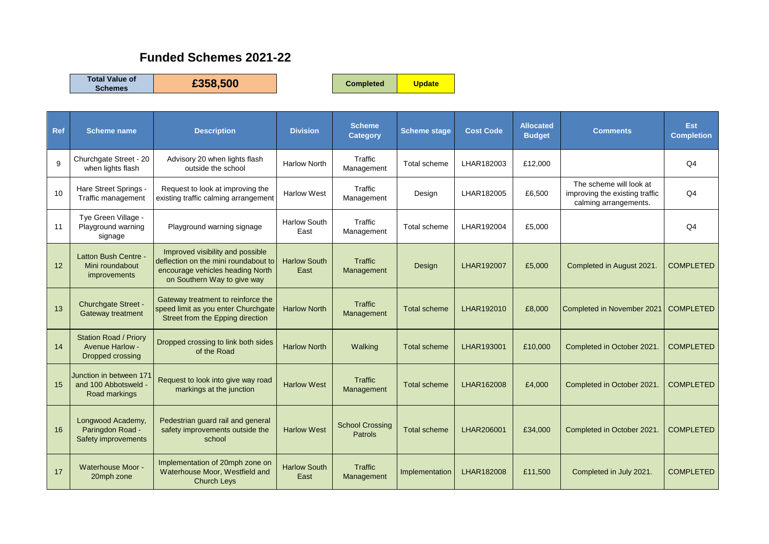## **Funded Schemes 2021-22**

**Total Value of** 

**Schemes £358,500 Completed Update**

| <b>Ref</b>   | <b>Scheme name</b>                                                         | <b>Description</b>                                                                                                                          | <b>Division</b>             | <b>Scheme</b><br><b>Category</b>         | <b>Scheme stage</b> | <b>Cost Code</b> | <b>Allocated</b><br><b>Budget</b> | <b>Comments</b>                                                                    | Est<br><b>Completion</b> |
|--------------|----------------------------------------------------------------------------|---------------------------------------------------------------------------------------------------------------------------------------------|-----------------------------|------------------------------------------|---------------------|------------------|-----------------------------------|------------------------------------------------------------------------------------|--------------------------|
| $\mathbf{Q}$ | Churchgate Street - 20<br>when lights flash                                | Advisory 20 when lights flash<br>outside the school                                                                                         | <b>Harlow North</b>         | Traffic<br>Management                    | Total scheme        | LHAR182003       | £12,000                           |                                                                                    | Q4                       |
| 10           | Hare Street Springs -<br>Traffic management                                | Request to look at improving the<br>existing traffic calming arrangement                                                                    | <b>Harlow West</b>          | Traffic<br>Management                    | Design              | LHAR182005       | £6,500                            | The scheme will look at<br>improving the existing traffic<br>calming arrangements. | Q <sub>4</sub>           |
| 11           | Tye Green Village -<br>Playground warning<br>signage                       | Playground warning signage                                                                                                                  | <b>Harlow South</b><br>East | Traffic<br>Management                    | Total scheme        | LHAR192004       | £5,000                            |                                                                                    | Q <sub>4</sub>           |
| 12           | <b>Latton Bush Centre -</b><br>Mini roundabout<br>improvements             | Improved visibility and possible<br>deflection on the mini roundabout to<br>encourage vehicles heading North<br>on Southern Way to give way | <b>Harlow South</b><br>East | Traffic<br>Management                    | Design              | LHAR192007       | £5,000                            | Completed in August 2021.                                                          | <b>COMPLETED</b>         |
| 13           | Churchgate Street -<br>Gateway treatment                                   | Gateway treatment to reinforce the<br>speed limit as you enter Churchgate<br>Street from the Epping direction                               | <b>Harlow North</b>         | Traffic<br>Management                    | <b>Total scheme</b> | LHAR192010       | £8,000                            | Completed in November 2021                                                         | <b>COMPLETED</b>         |
| 14           | <b>Station Road / Priory</b><br><b>Avenue Harlow -</b><br>Dropped crossing | Dropped crossing to link both sides<br>of the Road                                                                                          | <b>Harlow North</b>         | Walking                                  | <b>Total scheme</b> | LHAR193001       | £10,000                           | Completed in October 2021                                                          | <b>COMPLETED</b>         |
| 15           | Junction in between 171<br>and 100 Abbotsweld -<br>Road markings           | Request to look into give way road<br>markings at the junction                                                                              | <b>Harlow West</b>          | Traffic<br>Management                    | Total scheme        | LHAR162008       | £4,000                            | Completed in October 2021.                                                         | <b>COMPLETED</b>         |
| 16           | Longwood Academy,<br>Paringdon Road -<br>Safety improvements               | Pedestrian guard rail and general<br>safety improvements outside the<br>school                                                              | <b>Harlow West</b>          | <b>School Crossing</b><br><b>Patrols</b> | <b>Total scheme</b> | LHAR206001       | £34,000                           | Completed in October 2021.                                                         | <b>COMPLETED</b>         |
| 17           | Waterhouse Moor -<br>20mph zone                                            | Implementation of 20mph zone on<br>Waterhouse Moor, Westfield and<br><b>Church Leys</b>                                                     | <b>Harlow South</b><br>East | <b>Traffic</b><br>Management             | Implementation      | LHAR182008       | £11.500                           | Completed in July 2021.                                                            | <b>COMPLETED</b>         |